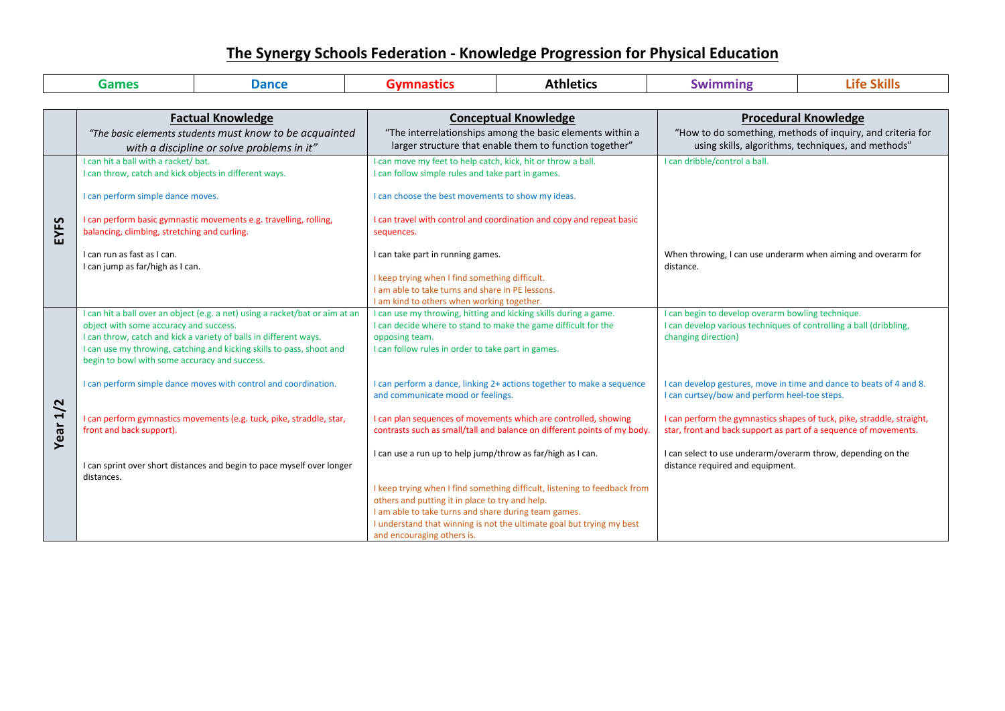## **The Synergy Schools Federation - Knowledge Progression for Physical Education**

| <b>Games</b><br><b>Dance</b> |                                                                                                                                                                                                          |                                                                                                                                                                                                                            | <b>Gymnastics</b>                                                                                                                                                                                                                              | <b>Athletics</b>                                                                                                                                   | <b>Swimming</b>                                                                                                                                                      | <b>Life Skills</b>                                                     |
|------------------------------|----------------------------------------------------------------------------------------------------------------------------------------------------------------------------------------------------------|----------------------------------------------------------------------------------------------------------------------------------------------------------------------------------------------------------------------------|------------------------------------------------------------------------------------------------------------------------------------------------------------------------------------------------------------------------------------------------|----------------------------------------------------------------------------------------------------------------------------------------------------|----------------------------------------------------------------------------------------------------------------------------------------------------------------------|------------------------------------------------------------------------|
|                              |                                                                                                                                                                                                          |                                                                                                                                                                                                                            |                                                                                                                                                                                                                                                |                                                                                                                                                    |                                                                                                                                                                      |                                                                        |
|                              | <b>Factual Knowledge</b><br>"The basic elements students must know to be acquainted<br>with a discipline or solve problems in it"                                                                        |                                                                                                                                                                                                                            | <b>Conceptual Knowledge</b><br>"The interrelationships among the basic elements within a<br>larger structure that enable them to function together"                                                                                            |                                                                                                                                                    | <b>Procedural Knowledge</b><br>"How to do something, methods of inquiry, and criteria for<br>using skills, algorithms, techniques, and methods"                      |                                                                        |
| EYFS                         | I can hit a ball with a racket/ bat.<br>I can throw, catch and kick objects in different ways.<br>I can perform simple dance moves.<br>I can perform basic gymnastic movements e.g. travelling, rolling, |                                                                                                                                                                                                                            | I can move my feet to help catch, kick, hit or throw a ball.<br>I can follow simple rules and take part in games.<br>I can choose the best movements to show my ideas.<br>I can travel with control and coordination and copy and repeat basic |                                                                                                                                                    | I can dribble/control a ball.                                                                                                                                        |                                                                        |
|                              | balancing, climbing, stretching and curling.<br>I can run as fast as I can.<br>I can jump as far/high as I can.                                                                                          |                                                                                                                                                                                                                            | sequences.<br>I can take part in running games.<br>I keep trying when I find something difficult.<br>I am able to take turns and share in PE lessons.<br>I am kind to others when working together.                                            |                                                                                                                                                    | When throwing, I can use underarm when aiming and overarm for<br>distance.                                                                                           |                                                                        |
|                              | object with some accuracy and success.<br>begin to bowl with some accuracy and success.                                                                                                                  | I can hit a ball over an object (e.g. a net) using a racket/bat or aim at an<br>I can throw, catch and kick a variety of balls in different ways.<br>I can use my throwing, catching and kicking skills to pass, shoot and | I can use my throwing, hitting and kicking skills during a game.<br>opposing team.<br>I can follow rules in order to take part in games.                                                                                                       | I can decide where to stand to make the game difficult for the                                                                                     | I can begin to develop overarm bowling technique.<br>I can develop various techniques of controlling a ball (dribbling,<br>changing direction)                       |                                                                        |
| Year 1/2                     | I can perform simple dance moves with control and coordination.<br>I can perform gymnastics movements (e.g. tuck, pike, straddle, star,                                                                  |                                                                                                                                                                                                                            | I can perform a dance, linking 2+ actions together to make a sequence<br>and communicate mood or feelings.<br>I can plan sequences of movements which are controlled, showing                                                                  |                                                                                                                                                    | I can develop gestures, move in time and dance to beats of 4 and 8.<br>I can curtsey/bow and perform heel-toe steps.                                                 | I can perform the gymnastics shapes of tuck, pike, straddle, straight, |
|                              | front and back support).<br>I can sprint over short distances and begin to pace myself over longer<br>distances.                                                                                         |                                                                                                                                                                                                                            | contrasts such as small/tall and balance on different points of my body.<br>I can use a run up to help jump/throw as far/high as I can.                                                                                                        |                                                                                                                                                    | star, front and back support as part of a sequence of movements.<br>I can select to use underarm/overarm throw, depending on the<br>distance required and equipment. |                                                                        |
|                              |                                                                                                                                                                                                          |                                                                                                                                                                                                                            | others and putting it in place to try and help.<br>I am able to take turns and share during team games.<br>and encouraging others is.                                                                                                          | I keep trying when I find something difficult, listening to feedback from<br>I understand that winning is not the ultimate goal but trying my best |                                                                                                                                                                      |                                                                        |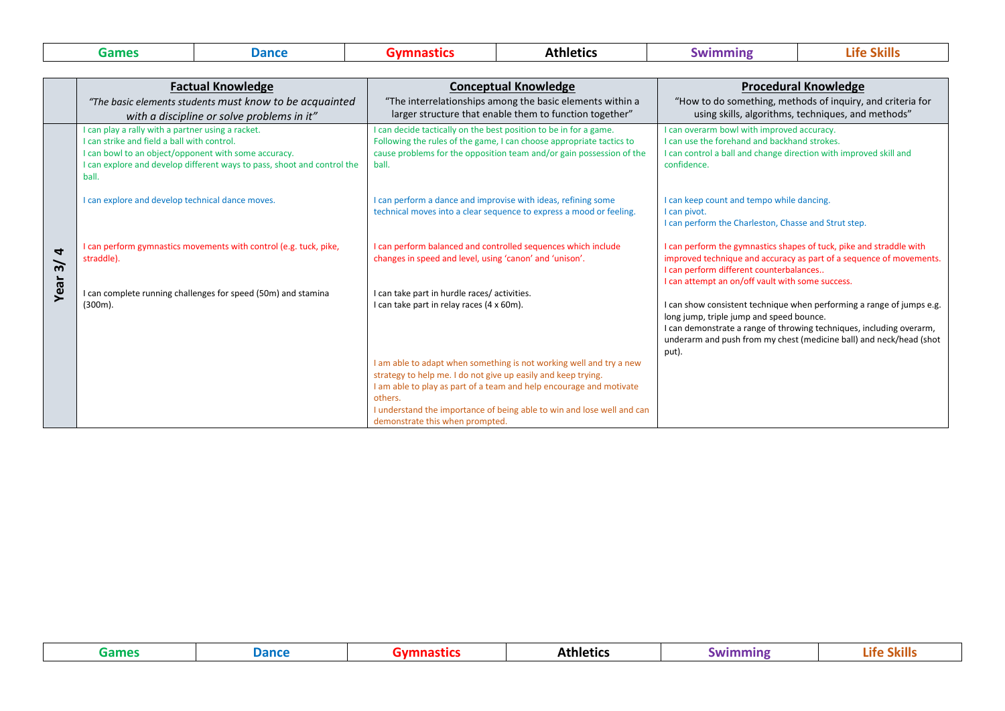| Games | . | Athletics | <b>SALE</b> | Life |
|-------|---|-----------|-------------|------|
|       |   |           |             |      |

 $\overline{\phantom{0}}$ 

|                                             | <b>Factual Knowledge</b>                                                                                                                                                                                                                 | <b>Conceptual Knowledge</b>                                                                                                                                                                                                                                                                                                         | <b>Procedural Knowledge</b>                                                                                                                                                                                                                                               |  |
|---------------------------------------------|------------------------------------------------------------------------------------------------------------------------------------------------------------------------------------------------------------------------------------------|-------------------------------------------------------------------------------------------------------------------------------------------------------------------------------------------------------------------------------------------------------------------------------------------------------------------------------------|---------------------------------------------------------------------------------------------------------------------------------------------------------------------------------------------------------------------------------------------------------------------------|--|
|                                             | "The basic elements students must know to be acquainted                                                                                                                                                                                  | "The interrelationships among the basic elements within a                                                                                                                                                                                                                                                                           | "How to do something, methods of inquiry, and criteria for                                                                                                                                                                                                                |  |
|                                             | with a discipline or solve problems in it"                                                                                                                                                                                               | larger structure that enable them to function together"                                                                                                                                                                                                                                                                             | using skills, algorithms, techniques, and methods"                                                                                                                                                                                                                        |  |
|                                             | can play a rally with a partner using a racket.<br>I can strike and field a ball with control.<br>can bowl to an object/opponent with some accuracy.<br>I can explore and develop different ways to pass, shoot and control the<br>ball. | I can decide tactically on the best position to be in for a game.<br>Following the rules of the game, I can choose appropriate tactics to<br>cause problems for the opposition team and/or gain possession of the<br>ball.                                                                                                          | I can overarm bowl with improved accuracy.<br>I can use the forehand and backhand strokes.<br>I can control a ball and change direction with improved skill and<br>confidence.                                                                                            |  |
|                                             | can explore and develop technical dance moves.                                                                                                                                                                                           | I can perform a dance and improvise with ideas, refining some<br>technical moves into a clear sequence to express a mood or feeling.                                                                                                                                                                                                | I can keep count and tempo while dancing.<br>I can pivot.<br>I can perform the Charleston, Chasse and Strut step.                                                                                                                                                         |  |
| $\overline{\mathbf{r}}$<br>$\tilde{\bm{s}}$ | can perform gymnastics movements with control (e.g. tuck, pike,<br>straddle).                                                                                                                                                            | I can perform balanced and controlled sequences which include<br>changes in speed and level, using 'canon' and 'unison'.                                                                                                                                                                                                            | I can perform the gymnastics shapes of tuck, pike and straddle with<br>improved technique and accuracy as part of a sequence of movements.<br>I can perform different counterbalances<br>I can attempt an on/off vault with some success.                                 |  |
| Year                                        | I can complete running challenges for speed (50m) and stamina<br>(300m).                                                                                                                                                                 | I can take part in hurdle races/activities.<br>I can take part in relay races (4 x 60m).                                                                                                                                                                                                                                            | I can show consistent technique when performing a range of jumps e.g.<br>long jump, triple jump and speed bounce.<br>I can demonstrate a range of throwing techniques, including overarm,<br>underarm and push from my chest (medicine ball) and neck/head (shot<br>put). |  |
|                                             |                                                                                                                                                                                                                                          | I am able to adapt when something is not working well and try a new<br>strategy to help me. I do not give up easily and keep trying.<br>I am able to play as part of a team and help encourage and motivate<br>others.<br>I understand the importance of being able to win and lose well and can<br>demonstrate this when prompted. |                                                                                                                                                                                                                                                                           |  |

| Games | ance |  | Athletics | mını<br>$\sqrt{141}$ | - -<br>Lite |
|-------|------|--|-----------|----------------------|-------------|
|-------|------|--|-----------|----------------------|-------------|